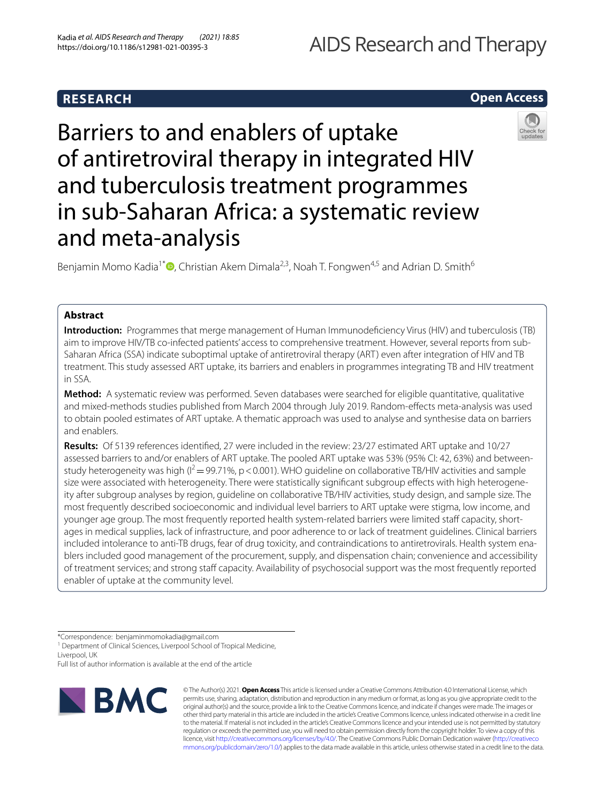# AIDS Research and Therapy

# **RESEARCH**

# **Open Access**



Barriers to and enablers of uptake of antiretroviral therapy in integrated HIV and tuberculosis treatment programmes in sub-Saharan Africa: a systematic review and meta-analysis

Benjamin Momo Kadia<sup>1\*</sup>  $\bullet$ [,](http://orcid.org/0000-0002-8566-7132) Christian Akem Dimala<sup>2,3</sup>, Noah T. Fongwen<sup>4,5</sup> and Adrian D. Smith<sup>6</sup>

# **Abstract**

**Introduction:** Programmes that merge management of Human Immunodefciency Virus (HIV) and tuberculosis (TB) aim to improve HIV/TB co-infected patients' access to comprehensive treatment. However, several reports from sub-Saharan Africa (SSA) indicate suboptimal uptake of antiretroviral therapy (ART) even after integration of HIV and TB treatment. This study assessed ART uptake, its barriers and enablers in programmes integrating TB and HIV treatment in SSA.

**Method:** A systematic review was performed. Seven databases were searched for eligible quantitative, qualitative and mixed-methods studies published from March 2004 through July 2019. Random-efects meta-analysis was used to obtain pooled estimates of ART uptake. A thematic approach was used to analyse and synthesise data on barriers and enablers.

**Results:** Of 5139 references identifed, 27 were included in the review: 23/27 estimated ART uptake and 10/27 assessed barriers to and/or enablers of ART uptake. The pooled ART uptake was 53% (95% CI: 42, 63%) and betweenstudy heterogeneity was high ( $I^2 = 99.71\%$ , p < 0.001). WHO guideline on collaborative TB/HIV activities and sample size were associated with heterogeneity. There were statistically significant subgroup effects with high heterogeneity after subgroup analyses by region, guideline on collaborative TB/HIV activities, study design, and sample size. The most frequently described socioeconomic and individual level barriers to ART uptake were stigma, low income, and younger age group. The most frequently reported health system-related barriers were limited staff capacity, shortages in medical supplies, lack of infrastructure, and poor adherence to or lack of treatment guidelines. Clinical barriers included intolerance to anti-TB drugs, fear of drug toxicity, and contraindications to antiretrovirals. Health system enablers included good management of the procurement, supply, and dispensation chain; convenience and accessibility of treatment services; and strong staff capacity. Availability of psychosocial support was the most frequently reported enabler of uptake at the community level.

Full list of author information is available at the end of the article



© The Author(s) 2021. **Open Access** This article is licensed under a Creative Commons Attribution 4.0 International License, which permits use, sharing, adaptation, distribution and reproduction in any medium or format, as long as you give appropriate credit to the original author(s) and the source, provide a link to the Creative Commons licence, and indicate if changes were made. The images or other third party material in this article are included in the article's Creative Commons licence, unless indicated otherwise in a credit line to the material. If material is not included in the article's Creative Commons licence and your intended use is not permitted by statutory regulation or exceeds the permitted use, you will need to obtain permission directly from the copyright holder. To view a copy of this licence, visit [http://creativecommons.org/licenses/by/4.0/.](http://creativecommons.org/licenses/by/4.0/) The Creative Commons Public Domain Dedication waiver ([http://creativeco](http://creativecommons.org/publicdomain/zero/1.0/) [mmons.org/publicdomain/zero/1.0/](http://creativecommons.org/publicdomain/zero/1.0/)) applies to the data made available in this article, unless otherwise stated in a credit line to the data.

<sup>\*</sup>Correspondence: benjaminmomokadia@gmail.com

<sup>&</sup>lt;sup>1</sup> Department of Clinical Sciences, Liverpool School of Tropical Medicine, Liverpool, UK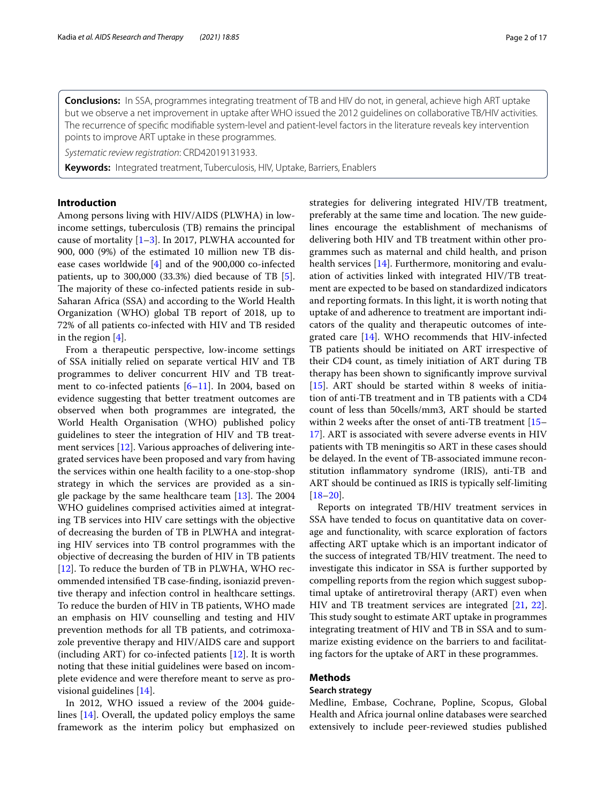**Conclusions:** In SSA, programmes integrating treatment of TB and HIV do not, in general, achieve high ART uptake but we observe a net improvement in uptake after WHO issued the 2012 guidelines on collaborative TB/HIV activities. The recurrence of specifc modifable system-level and patient-level factors in the literature reveals key intervention points to improve ART uptake in these programmes.

*Systematic review registration*: CRD42019131933.

**Keywords:** Integrated treatment, Tuberculosis, HIV, Uptake, Barriers, Enablers

# **Introduction**

Among persons living with HIV/AIDS (PLWHA) in lowincome settings, tuberculosis (TB) remains the principal cause of mortality  $[1-3]$  $[1-3]$ . In 2017, PLWHA accounted for 900, 000 (9%) of the estimated 10 million new TB disease cases worldwide [[4](#page-15-2)] and of the 900,000 co-infected patients, up to 300,000 (33.3%) died because of TB [\[5](#page-15-3)]. The majority of these co-infected patients reside in sub-Saharan Africa (SSA) and according to the World Health Organization (WHO) global TB report of 2018, up to 72% of all patients co-infected with HIV and TB resided in the region [\[4](#page-15-2)].

From a therapeutic perspective, low-income settings of SSA initially relied on separate vertical HIV and TB programmes to deliver concurrent HIV and TB treatment to co-infected patients [[6–](#page-15-4)[11\]](#page-15-5). In 2004, based on evidence suggesting that better treatment outcomes are observed when both programmes are integrated, the World Health Organisation (WHO) published policy guidelines to steer the integration of HIV and TB treatment services [\[12](#page-15-6)]. Various approaches of delivering integrated services have been proposed and vary from having the services within one health facility to a one-stop-shop strategy in which the services are provided as a single package by the same healthcare team  $[13]$  $[13]$ . The 2004 WHO guidelines comprised activities aimed at integrating TB services into HIV care settings with the objective of decreasing the burden of TB in PLWHA and integrating HIV services into TB control programmes with the objective of decreasing the burden of HIV in TB patients [[12\]](#page-15-6). To reduce the burden of TB in PLWHA, WHO recommended intensifed TB case-fnding, isoniazid preventive therapy and infection control in healthcare settings. To reduce the burden of HIV in TB patients, WHO made an emphasis on HIV counselling and testing and HIV prevention methods for all TB patients, and cotrimoxazole preventive therapy and HIV/AIDS care and support (including ART) for co-infected patients [\[12](#page-15-6)]. It is worth noting that these initial guidelines were based on incomplete evidence and were therefore meant to serve as provisional guidelines [\[14](#page-15-8)].

In 2012, WHO issued a review of the 2004 guidelines [[14\]](#page-15-8). Overall, the updated policy employs the same framework as the interim policy but emphasized on strategies for delivering integrated HIV/TB treatment, preferably at the same time and location. The new guidelines encourage the establishment of mechanisms of delivering both HIV and TB treatment within other programmes such as maternal and child health, and prison health services [\[14\]](#page-15-8). Furthermore, monitoring and evaluation of activities linked with integrated HIV/TB treatment are expected to be based on standardized indicators and reporting formats. In this light, it is worth noting that uptake of and adherence to treatment are important indicators of the quality and therapeutic outcomes of integrated care [[14\]](#page-15-8). WHO recommends that HIV-infected TB patients should be initiated on ART irrespective of their CD4 count, as timely initiation of ART during TB therapy has been shown to signifcantly improve survival [[15\]](#page-15-9). ART should be started within 8 weeks of initiation of anti-TB treatment and in TB patients with a CD4 count of less than 50cells/mm3, ART should be started within 2 weeks after the onset of anti-TB treatment [[15–](#page-15-9) [17\]](#page-15-10). ART is associated with severe adverse events in HIV patients with TB meningitis so ART in these cases should be delayed. In the event of TB-associated immune reconstitution infammatory syndrome (IRIS), anti-TB and ART should be continued as IRIS is typically self-limiting  $[18–20]$  $[18–20]$  $[18–20]$ .

Reports on integrated TB/HIV treatment services in SSA have tended to focus on quantitative data on coverage and functionality, with scarce exploration of factors afecting ART uptake which is an important indicator of the success of integrated TB/HIV treatment. The need to investigate this indicator in SSA is further supported by compelling reports from the region which suggest suboptimal uptake of antiretroviral therapy (ART) even when HIV and TB treatment services are integrated [\[21](#page-15-13), [22](#page-15-14)]. This study sought to estimate ART uptake in programmes integrating treatment of HIV and TB in SSA and to summarize existing evidence on the barriers to and facilitating factors for the uptake of ART in these programmes.

# **Methods**

#### **Search strategy**

Medline, Embase, Cochrane, Popline, Scopus, Global Health and Africa journal online databases were searched extensively to include peer-reviewed studies published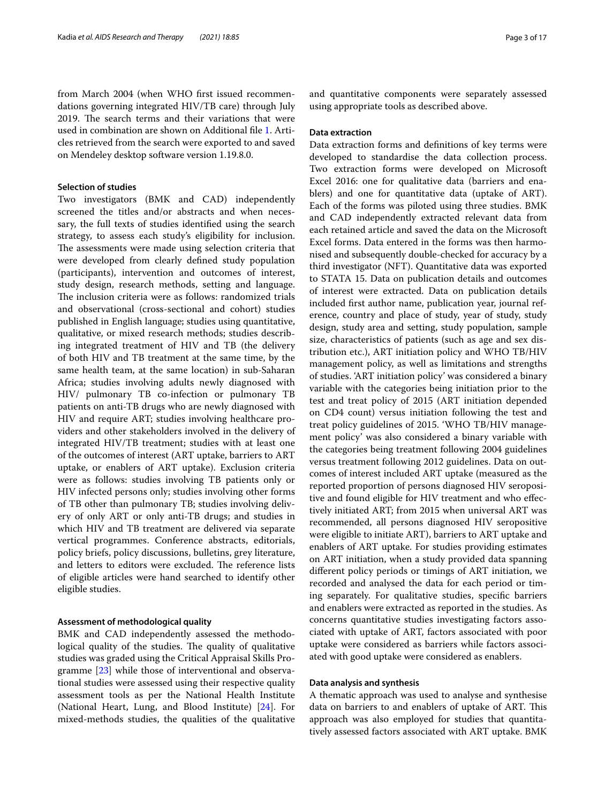from March 2004 (when WHO frst issued recommendations governing integrated HIV/TB care) through July 2019. The search terms and their variations that were used in combination are shown on Additional fle [1.](#page-14-0) Articles retrieved from the search were exported to and saved on Mendeley desktop software version 1.19.8.0.

# **Selection of studies**

Two investigators (BMK and CAD) independently screened the titles and/or abstracts and when necessary, the full texts of studies identifed using the search strategy, to assess each study's eligibility for inclusion. The assessments were made using selection criteria that were developed from clearly defned study population (participants), intervention and outcomes of interest, study design, research methods, setting and language. The inclusion criteria were as follows: randomized trials and observational (cross-sectional and cohort) studies published in English language; studies using quantitative, qualitative, or mixed research methods; studies describing integrated treatment of HIV and TB (the delivery of both HIV and TB treatment at the same time, by the same health team, at the same location) in sub-Saharan Africa; studies involving adults newly diagnosed with HIV/ pulmonary TB co-infection or pulmonary TB patients on anti-TB drugs who are newly diagnosed with HIV and require ART; studies involving healthcare providers and other stakeholders involved in the delivery of integrated HIV/TB treatment; studies with at least one of the outcomes of interest (ART uptake, barriers to ART uptake, or enablers of ART uptake). Exclusion criteria were as follows: studies involving TB patients only or HIV infected persons only; studies involving other forms of TB other than pulmonary TB; studies involving delivery of only ART or only anti-TB drugs; and studies in which HIV and TB treatment are delivered via separate vertical programmes. Conference abstracts, editorials, policy briefs, policy discussions, bulletins, grey literature, and letters to editors were excluded. The reference lists of eligible articles were hand searched to identify other eligible studies.

#### **Assessment of methodological quality**

BMK and CAD independently assessed the methodological quality of the studies. The quality of qualitative studies was graded using the Critical Appraisal Skills Programme [\[23\]](#page-15-15) while those of interventional and observational studies were assessed using their respective quality assessment tools as per the National Health Institute (National Heart, Lung, and Blood Institute) [\[24](#page-15-16)]. For mixed-methods studies, the qualities of the qualitative and quantitative components were separately assessed using appropriate tools as described above.

#### **Data extraction**

Data extraction forms and defnitions of key terms were developed to standardise the data collection process. Two extraction forms were developed on Microsoft Excel 2016: one for qualitative data (barriers and enablers) and one for quantitative data (uptake of ART). Each of the forms was piloted using three studies. BMK and CAD independently extracted relevant data from each retained article and saved the data on the Microsoft Excel forms. Data entered in the forms was then harmonised and subsequently double-checked for accuracy by a third investigator (NFT). Quantitative data was exported to STATA 15. Data on publication details and outcomes of interest were extracted. Data on publication details included frst author name, publication year, journal reference, country and place of study, year of study, study design, study area and setting, study population, sample size, characteristics of patients (such as age and sex distribution etc.), ART initiation policy and WHO TB/HIV management policy, as well as limitations and strengths of studies. 'ART initiation policy' was considered a binary variable with the categories being initiation prior to the test and treat policy of 2015 (ART initiation depended on CD4 count) versus initiation following the test and treat policy guidelines of 2015. 'WHO TB/HIV management policy' was also considered a binary variable with the categories being treatment following 2004 guidelines versus treatment following 2012 guidelines. Data on outcomes of interest included ART uptake (measured as the reported proportion of persons diagnosed HIV seropositive and found eligible for HIV treatment and who efectively initiated ART; from 2015 when universal ART was recommended, all persons diagnosed HIV seropositive were eligible to initiate ART), barriers to ART uptake and enablers of ART uptake. For studies providing estimates on ART initiation, when a study provided data spanning diferent policy periods or timings of ART initiation, we recorded and analysed the data for each period or timing separately. For qualitative studies, specifc barriers and enablers were extracted as reported in the studies. As concerns quantitative studies investigating factors associated with uptake of ART, factors associated with poor uptake were considered as barriers while factors associated with good uptake were considered as enablers.

#### **Data analysis and synthesis**

A thematic approach was used to analyse and synthesise data on barriers to and enablers of uptake of ART. This approach was also employed for studies that quantitatively assessed factors associated with ART uptake. BMK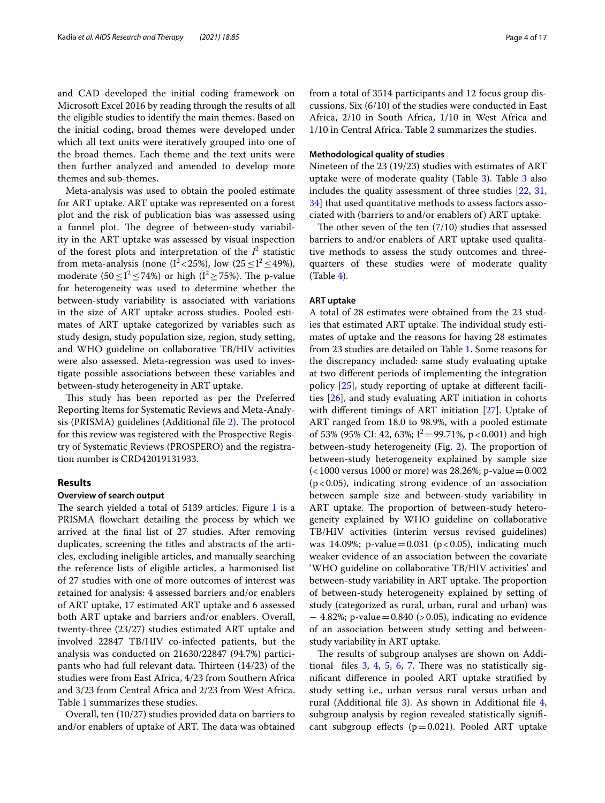and CAD developed the initial coding framework on Microsoft Excel 2016 by reading through the results of all the eligible studies to identify the main themes. Based on the initial coding, broad themes were developed under which all text units were iteratively grouped into one of the broad themes. Each theme and the text units were then further analyzed and amended to develop more themes and sub-themes.

Meta-analysis was used to obtain the pooled estimate for ART uptake. ART uptake was represented on a forest plot and the risk of publication bias was assessed using a funnel plot. The degree of between-study variability in the ART uptake was assessed by visual inspection of the forest plots and interpretation of the  $I^2$  statistic from meta-analysis (none  $(I^2 < 25\%)$ , low  $(25 \le I^2 \le 49\%)$ , moderate  $(50 \leq I^2 \leq 74\%)$  or high  $(I^2 \geq 75\%)$ . The p-value for heterogeneity was used to determine whether the between-study variability is associated with variations in the size of ART uptake across studies. Pooled estimates of ART uptake categorized by variables such as study design, study population size, region, study setting, and WHO guideline on collaborative TB/HIV activities were also assessed. Meta-regression was used to investigate possible associations between these variables and between-study heterogeneity in ART uptake.

This study has been reported as per the Preferred Reporting Items for Systematic Reviews and Meta-Analy-sis (PRISMA) guidelines (Additional file [2](#page-14-1)). The protocol for this review was registered with the Prospective Registry of Systematic Reviews (PROSPERO) and the registration number is CRD42019131933.

# **Results**

#### **Overview of search output**

The search yielded a total of  $5139$  articles. Figure [1](#page-4-0) is a PRISMA flowchart detailing the process by which we arrived at the fnal list of 27 studies. After removing duplicates, screening the titles and abstracts of the articles, excluding ineligible articles, and manually searching the reference lists of eligible articles, a harmonised list of 27 studies with one of more outcomes of interest was retained for analysis: 4 assessed barriers and/or enablers of ART uptake, 17 estimated ART uptake and 6 assessed both ART uptake and barriers and/or enablers. Overall, twenty-three (23/27) studies estimated ART uptake and involved 22847 TB/HIV co-infected patients, but the analysis was conducted on 21630/22847 (94.7%) participants who had full relevant data. Thirteen  $(14/23)$  of the studies were from East Africa, 4/23 from Southern Africa and 3/23 from Central Africa and 2/23 from West Africa. Table [1](#page-5-0) summarizes these studies.

Overall, ten (10/27) studies provided data on barriers to and/or enablers of uptake of ART. The data was obtained from a total of 3514 participants and 12 focus group discussions. Six (6/10) of the studies were conducted in East Africa, 2/10 in South Africa, 1/10 in West Africa and 1/10 in Central Africa. Table [2](#page-6-0) summarizes the studies.

#### **Methodological quality of studies**

Nineteen of the 23 (19/23) studies with estimates of ART uptake were of moderate quality (Table [3](#page-7-0)). Table [3](#page-7-0) also includes the quality assessment of three studies [[22,](#page-15-14) [31](#page-15-17), [34\]](#page-16-0) that used quantitative methods to assess factors associated with (barriers to and/or enablers of) ART uptake.

The other seven of the ten  $(7/10)$  studies that assessed barriers to and/or enablers of ART uptake used qualitative methods to assess the study outcomes and threequarters of these studies were of moderate quality (Table [4\)](#page-9-0).

#### **ART uptake**

A total of 28 estimates were obtained from the 23 studies that estimated ART uptake. The individual study estimates of uptake and the reasons for having 28 estimates from 23 studies are detailed on Table [1](#page-5-0). Some reasons for the discrepancy included: same study evaluating uptake at two diferent periods of implementing the integration policy [\[25](#page-15-18)], study reporting of uptake at diferent facilities [\[26](#page-15-19)], and study evaluating ART initiation in cohorts with diferent timings of ART initiation [[27](#page-15-20)]. Uptake of ART ranged from 18.0 to 98.9%, with a pooled estimate of 53% (95% CI: 42, 63%;  $I^2 = 99.71\%$ , p < 0.001) and high between-study heterogeneity (Fig. [2](#page-10-0)). The proportion of between-study heterogeneity explained by sample size (<1000 versus 1000 or more) was 28.26%; p-value=0.002  $(p<0.05)$ , indicating strong evidence of an association between sample size and between-study variability in ART uptake. The proportion of between-study heterogeneity explained by WHO guideline on collaborative TB/HIV activities (interim versus revised guidelines) was 14.09%; p-value = 0.031 (p < 0.05), indicating much weaker evidence of an association between the covariate 'WHO guideline on collaborative TB/HIV activities' and between-study variability in ART uptake. The proportion of between-study heterogeneity explained by setting of study (categorized as rural, urban, rural and urban) was  $-4.82\%$ ; p-value = 0.840 (> 0.05), indicating no evidence of an association between study setting and betweenstudy variability in ART uptake.

The results of subgroup analyses are shown on Additional files  $3, 4, 5, 6, 7$  $3, 4, 5, 6, 7$  $3, 4, 5, 6, 7$  $3, 4, 5, 6, 7$  $3, 4, 5, 6, 7$  $3, 4, 5, 6, 7$  $3, 4, 5, 6, 7$  $3, 4, 5, 6, 7$  $3, 4, 5, 6, 7$ . There was no statistically signifcant diference in pooled ART uptake stratifed by study setting i.e., urban versus rural versus urban and rural (Additional fle [3\)](#page-14-2). As shown in Additional fle [4](#page-14-3), subgroup analysis by region revealed statistically signifcant subgroup effects  $(p=0.021)$ . Pooled ART uptake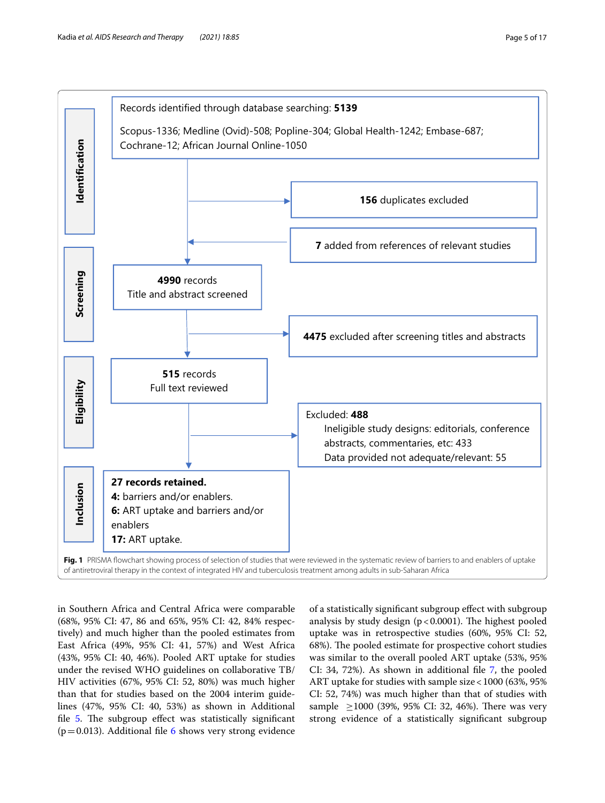



<span id="page-4-0"></span>in Southern Africa and Central Africa were comparable (68%, 95% CI: 47, 86 and 65%, 95% CI: 42, 84% respectively) and much higher than the pooled estimates from East Africa (49%, 95% CI: 41, 57%) and West Africa (43%, 95% CI: 40, 46%). Pooled ART uptake for studies under the revised WHO guidelines on collaborative TB/ HIV activities (67%, 95% CI: 52, 80%) was much higher than that for studies based on the 2004 interim guidelines (47%, 95% CI: 40, 53%) as shown in Additional file  $5$ . The subgroup effect was statistically significant ( $p=0.013$ ). Additional file [6](#page-14-5) shows very strong evidence

of a statistically signifcant subgroup efect with subgroup analysis by study design  $(p < 0.0001)$ . The highest pooled uptake was in retrospective studies (60%, 95% CI: 52, 68%). The pooled estimate for prospective cohort studies was similar to the overall pooled ART uptake (53%, 95% CI: 34, 72%). As shown in additional fle [7](#page-14-6), the pooled ART uptake for studies with sample size<1000 (63%, 95% CI: 52, 74%) was much higher than that of studies with sample  $\geq$ 1000 (39%, 95% CI: 32, 46%). There was very strong evidence of a statistically signifcant subgroup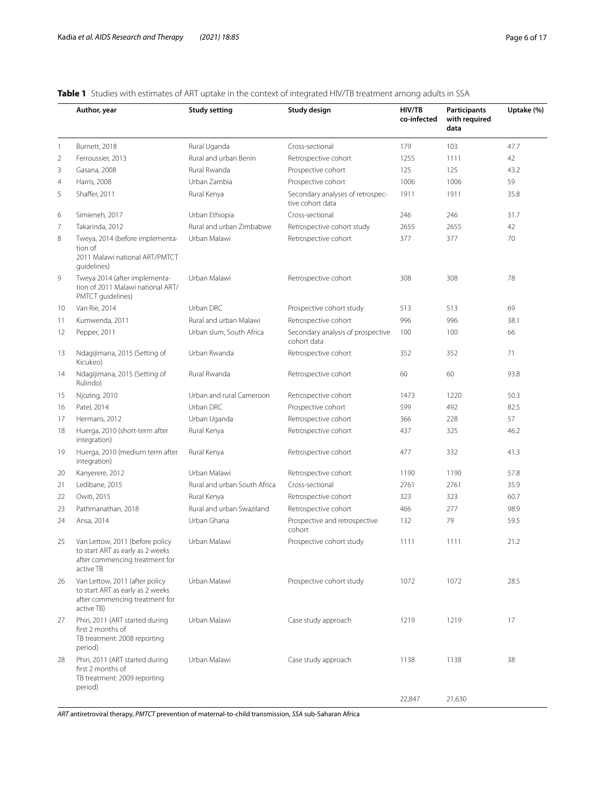|                | Author, year                                                                                                       | <b>Study setting</b>         | Study design                                         | HIV/TB<br>co-infected | Participants<br>with required<br>data | Uptake (%) |
|----------------|--------------------------------------------------------------------------------------------------------------------|------------------------------|------------------------------------------------------|-----------------------|---------------------------------------|------------|
| 1              | Burnett, 2018                                                                                                      | Rural Uganda                 | Cross-sectional                                      | 179                   | 103                                   | 47.7       |
| $\overline{2}$ | Ferroussier, 2013                                                                                                  | Rural and urban Benin        | Retrospective cohort                                 | 1255                  | 1111                                  | 42         |
| 3              | Gasana, 2008                                                                                                       | Rural Rwanda                 | Prospective cohort                                   | 125                   | 125                                   | 43.2       |
| $\overline{4}$ | Harris, 2008                                                                                                       | Urban Zambia                 | Prospective cohort                                   | 1006                  | 1006                                  | 59         |
| 5              | Shaffer, 2011                                                                                                      | Rural Kenya                  | Secondary analyses of retrospec-<br>tive cohort data | 1911                  | 1911                                  | 35.8       |
| 6              | Simieneh, 2017                                                                                                     | Urban Ethiopia               | Cross-sectional                                      | 246                   | 246                                   | 31.7       |
| 7              | Takarinda, 2012                                                                                                    | Rural and urban Zimbabwe     | Retrospective cohort study                           | 2655                  | 2655                                  | 42         |
| 8              | Tweya, 2014 (before implementa-<br>tion of<br>2011 Malawi national ART/PMTCT<br>guidelines)                        | Urban Malawi                 | Retrospective cohort                                 | 377                   | 377                                   | 70         |
| 9              | Tweya 2014 (after implementa-<br>tion of 2011 Malawi national ART/<br>PMTCT guidelines)                            | Urban Malawi                 | Retrospective cohort                                 | 308                   | 308                                   | 78         |
| 10             | Van Rie, 2014                                                                                                      | Urban DRC                    | Prospective cohort study                             | 513                   | 513                                   | 69         |
| 11             | Kumwenda, 2011                                                                                                     | Rural and urban Malawi       | Retrospective cohort                                 | 996                   | 996                                   | 38.1       |
| 12             | Pepper, 2011                                                                                                       | Urban slum, South Africa     | Secondary analysis of prospective<br>cohort data     | 100                   | 100                                   | 66         |
| 13             | Ndagijimana, 2015 (Setting of<br>Kicukiro)                                                                         | Urban Rwanda                 | Retrospective cohort                                 | 352                   | 352                                   | 71         |
| 14             | Ndagijimana, 2015 (Setting of<br>Rulindo)                                                                          | Rural Rwanda                 | Retrospective cohort                                 | 60                    | 60                                    | 93.8       |
| 15             | Njozing, 2010                                                                                                      | Urban and rural Cameroon     | Retrospective cohort                                 | 1473                  | 1220                                  | 50.3       |
| 16             | Patel, 2014                                                                                                        | Urban DRC                    | Prospective cohort                                   | 599                   | 492                                   | 82.5       |
| 17             | Hermans, 2012                                                                                                      | Urban Uganda                 | Retrospective cohort                                 | 366                   | 228                                   | 57         |
| 18             | Huerga, 2010 (short-term after<br>integration)                                                                     | Rural Kenya                  | Retrospective cohort                                 | 437                   | 325                                   | 46.2       |
| 19             | Huerga, 2010 (medium term after<br>integration)                                                                    | Rural Kenya                  | Retrospective cohort                                 | 477                   | 332                                   | 41.3       |
| 20             | Kanyerere, 2012                                                                                                    | Urban Malawi                 | Retrospective cohort                                 | 1190                  | 1190                                  | 57.8       |
| 21             | Ledibane, 2015                                                                                                     | Rural and urban South Africa | Cross-sectional                                      | 2761                  | 2761                                  | 35.9       |
| 22             | Owiti, 2015                                                                                                        | Rural Kenya                  | Retrospective cohort                                 | 323                   | 323                                   | 60.7       |
| 23             | Pathmanathan, 2018                                                                                                 | Rural and urban Swaziland    | Retrospective cohort                                 | 466                   | 277                                   | 98.9       |
| 24             | Ansa, 2014                                                                                                         | Urban Ghana                  | Prospective and retrospective<br>cohort              | 132                   | 79                                    | 59.5       |
| 25             | Van Lettow, 2011 (before policy<br>to start ART as early as 2 weeks<br>after commencing treatment for<br>active TB | Urban Malawi                 | Prospective cohort study                             | 1111                  | 1111                                  | 21.2       |
| 26             | Van Lettow, 2011 (after policy<br>to start ART as early as 2 weeks<br>after commencing treatment for<br>active TB) | Urban Malawi                 | Prospective cohort study                             | 1072                  | 1072                                  | 28.5       |
| 27             | Phiri, 2011 (ART started during<br>first 2 months of<br>TB treatment: 2008 reporting<br>period)                    | Urban Malawi                 | Case study approach                                  | 1219                  | 1219                                  | 17         |
| 28             | Phiri, 2011 (ART started during<br>first 2 months of<br>TB treatment: 2009 reporting<br>period)                    | Urban Malawi                 | Case study approach                                  | 1138                  | 1138                                  | 38         |
|                |                                                                                                                    |                              |                                                      | 22,847                | 21,630                                |            |

# <span id="page-5-0"></span>**Table 1** Studies with estimates of ART uptake in the context of integrated HIV/TB treatment among adults in SSA

*ART* antiretroviral therapy, *PMTCT* prevention of maternal-to-child transmission, *SSA* sub-Saharan Africa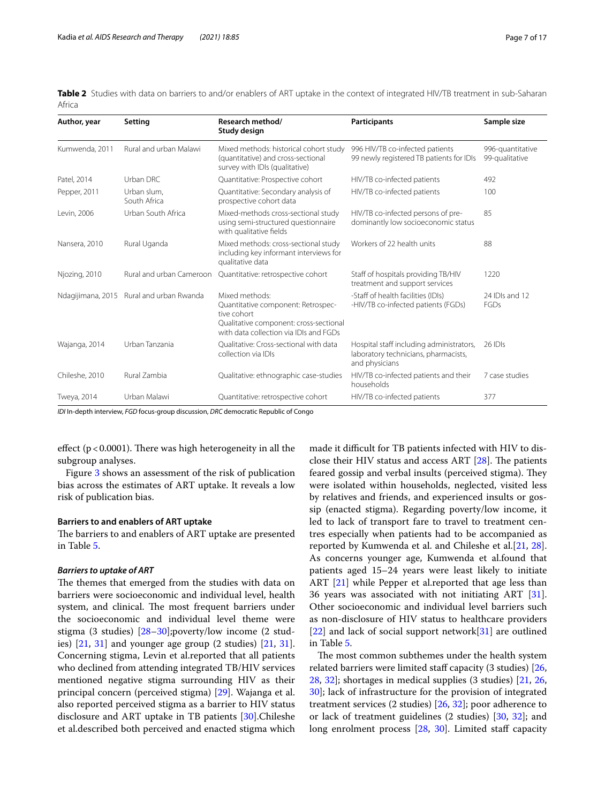<span id="page-6-0"></span>

|        | <b>Table 2</b> Studies with data on barriers to and/or enablers of ART uptake in the context of integrated HIV/TB treatment in sub-Saharan |  |  |  |  |
|--------|--------------------------------------------------------------------------------------------------------------------------------------------|--|--|--|--|
| Africa |                                                                                                                                            |  |  |  |  |

| Author, year      | Setting                     | Research method/<br>Study design                                                                                                                        | <b>Participants</b>                                                                                | Sample size                        |
|-------------------|-----------------------------|---------------------------------------------------------------------------------------------------------------------------------------------------------|----------------------------------------------------------------------------------------------------|------------------------------------|
| Kumwenda, 2011    | Rural and urban Malawi      | Mixed methods: historical cohort study<br>(quantitative) and cross-sectional<br>survey with IDIs (qualitative)                                          | 996 HIV/TB co-infected patients<br>99 newly registered TB patients for IDIs                        | 996-quantitative<br>99-qualitative |
| Patel, 2014       | Urban DRC                   | Quantitative: Prospective cohort                                                                                                                        | HIV/TB co-infected patients                                                                        | 492                                |
| Pepper, 2011      | Urban slum,<br>South Africa | Quantitative: Secondary analysis of<br>prospective cohort data                                                                                          | HIV/TB co-infected patients                                                                        | 100                                |
| Levin, 2006       | Urban South Africa          | Mixed-methods cross-sectional study<br>using semi-structured questionnaire<br>with qualitative fields                                                   | HIV/TB co-infected persons of pre-<br>dominantly low socioeconomic status                          | 85                                 |
| Nansera, 2010     | Rural Uganda                | Mixed methods: cross-sectional study<br>including key informant interviews for<br>qualitative data                                                      | Workers of 22 health units                                                                         | 88                                 |
| Njozing, 2010     | Rural and urban Cameroon    | Quantitative: retrospective cohort                                                                                                                      | Staff of hospitals providing TB/HIV<br>treatment and support services                              | 1220                               |
| Ndagijimana, 2015 | Rural and urban Rwanda      | Mixed methods:<br>Quantitative component: Retrospec-<br>tive cohort<br>Qualitative component: cross-sectional<br>with data collection via IDIs and EGDs | -Staff of health facilities (IDIs)<br>-HIV/TB co-infected patients (FGDs)                          | 24 IDIs and 12<br>FGDs             |
| Wajanga, 2014     | Urban Tanzania              | Qualitative: Cross-sectional with data<br>collection via IDIs                                                                                           | Hospital staff including administrators,<br>laboratory technicians, pharmacists,<br>and physicians | 26 IDIs                            |
| Chileshe, 2010    | Rural Zambia                | Qualitative: ethnographic case-studies                                                                                                                  | HIV/TB co-infected patients and their<br>households                                                | 7 case studies                     |
| Tweya, 2014       | Urban Malawi                | Quantitative: retrospective cohort                                                                                                                      | HIV/TB co-infected patients                                                                        | 377                                |

*IDI* In-depth interview, *FGD* focus-group discussion, *DRC* democratic Republic of Congo

effect ( $p < 0.0001$ ). There was high heterogeneity in all the subgroup analyses.

Figure [3](#page-11-0) shows an assessment of the risk of publication bias across the estimates of ART uptake. It reveals a low risk of publication bias.

#### **Barriers to and enablers of ART uptake**

The barriers to and enablers of ART uptake are presented in Table [5](#page-12-0).

## *Barriers to uptake of ART*

The themes that emerged from the studies with data on barriers were socioeconomic and individual level, health system, and clinical. The most frequent barriers under the socioeconomic and individual level theme were stigma (3 studies) [[28–](#page-15-21)[30](#page-15-22)];poverty/low income (2 studies)  $[21, 31]$  $[21, 31]$  $[21, 31]$  and younger age group  $(2 \text{ studies})$   $[21, 31]$  $[21, 31]$  $[21, 31]$  $[21, 31]$  $[21, 31]$ . Concerning stigma, Levin et al.reported that all patients who declined from attending integrated TB/HIV services mentioned negative stigma surrounding HIV as their principal concern (perceived stigma) [\[29](#page-15-23)]. Wajanga et al. also reported perceived stigma as a barrier to HIV status disclosure and ART uptake in TB patients [[30\]](#page-15-22).Chileshe et al.described both perceived and enacted stigma which made it difficult for TB patients infected with HIV to disclose their HIV status and access ART  $[28]$  $[28]$  $[28]$ . The patients feared gossip and verbal insults (perceived stigma). They were isolated within households, neglected, visited less by relatives and friends, and experienced insults or gossip (enacted stigma). Regarding poverty/low income, it led to lack of transport fare to travel to treatment centres especially when patients had to be accompanied as reported by Kumwenda et al. and Chileshe et al.[\[21](#page-15-13), [28](#page-15-21)]. As concerns younger age, Kumwenda et al.found that patients aged 15–24 years were least likely to initiate ART [[21\]](#page-15-13) while Pepper et al. reported that age less than 36 years was associated with not initiating ART [\[31](#page-15-17)]. Other socioeconomic and individual level barriers such as non-disclosure of HIV status to healthcare providers [[22\]](#page-15-14) and lack of social support network[\[31](#page-15-17)] are outlined in Table [5.](#page-12-0)

The most common subthemes under the health system related barriers were limited staff capacity  $(3 \text{ studies})$  [[26](#page-15-19), [28,](#page-15-21) [32\]](#page-15-24); shortages in medical supplies (3 studies) [\[21](#page-15-13), [26](#page-15-19), [30\]](#page-15-22); lack of infrastructure for the provision of integrated treatment services (2 studies) [[26,](#page-15-19) [32](#page-15-24)]; poor adherence to or lack of treatment guidelines (2 studies) [[30,](#page-15-22) [32](#page-15-24)]; and long enrolment process [[28](#page-15-21), [30\]](#page-15-22). Limited staff capacity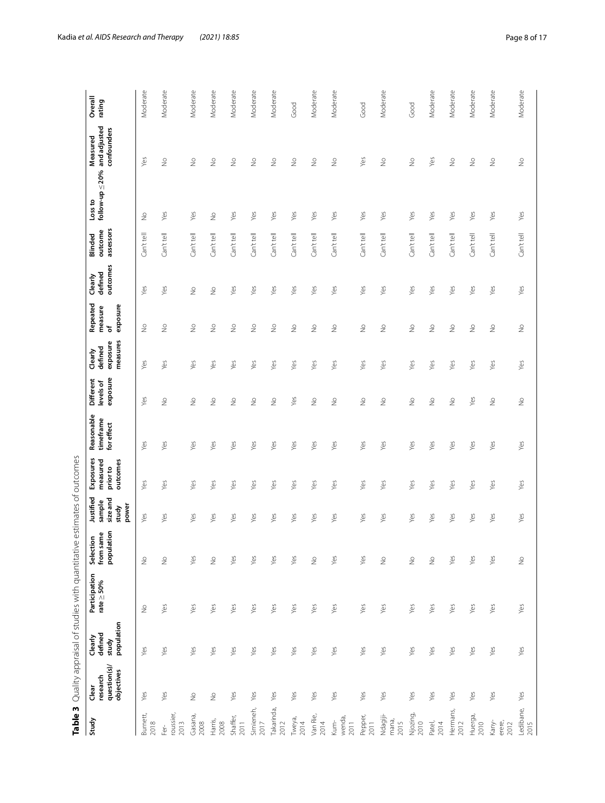<span id="page-7-0"></span>

| ١<br>١                             |
|------------------------------------|
| ţ                                  |
|                                    |
| $\ddot{\phantom{0}}$               |
| ֧ׅ֧ׅ֧֚֚֚֚֚֚֚֚֚֚֚֚֚֚֚֚֚֝֡֜֡֜֡֜֓֡֜֓֝ |
|                                    |
| $\frac{1}{2}$                      |
|                                    |
| j                                  |
|                                    |
|                                    |
| i                                  |
| į                                  |
| i                                  |
|                                    |
|                                    |
|                                    |
|                                    |
| j                                  |
|                                    |
|                                    |
| Š                                  |
|                                    |
| $\frac{1}{2}$                      |
| ١                                  |
|                                    |
|                                    |
|                                    |
|                                    |
| Ç<br>١                             |
| l<br>j                             |
|                                    |
| j                                  |
| $\frac{1}{2}$                      |
| ì                                  |
| $\frac{1}{\sqrt{2}}$               |
|                                    |
| Ó                                  |
| ١                                  |
| į                                  |
|                                    |
| į                                  |
|                                    |
| ¢                                  |
|                                    |
|                                    |
|                                    |
| ¢                                  |
|                                    |
|                                    |
|                                    |
|                                    |
| O<br>١                             |
| ı                                  |
| I<br>ï<br>ׇ֘֝֬֕<br>ļ               |

|                           |                                                 |                                           | Table 3 Quality appraisal of studies with quantitative estimates of outcomes |                                                            |                                                  |                                               |                                       |                                    |                                            |                                      |                                |                                 |                                 |                                         |                   |
|---------------------------|-------------------------------------------------|-------------------------------------------|------------------------------------------------------------------------------|------------------------------------------------------------|--------------------------------------------------|-----------------------------------------------|---------------------------------------|------------------------------------|--------------------------------------------|--------------------------------------|--------------------------------|---------------------------------|---------------------------------|-----------------------------------------|-------------------|
| Study                     | question(s)/<br>objectives<br>research<br>Clear | population<br>Clearly<br>defined<br>study | Participation<br>rate≥50%                                                    | population<br>from same<br>$\tilde{\mathsf{s}}$<br>Selecti | Justified<br>sizeand<br>sample<br>power<br>study | Exposures<br>measured<br>outcomes<br>prior to | Reasonable<br>timeframe<br>for effect | exposure<br>Different<br>levels of | measures<br>exposure<br>defined<br>Clearly | Repeated<br>exposure<br>measure<br>৳ | outcomes<br>defined<br>Clearly | assessors<br>outcome<br>Blinded | follow-up $\leq$ 20%<br>Loss to | and adjusted<br>confounders<br>Measured | Overall<br>rating |
| Burnett,<br>2018          | Yes                                             | Yes                                       | $\stackrel{\circ}{\geq}$                                                     | $\stackrel{\circ}{\geq}$                                   | Yes                                              | Yes                                           | Yes                                   | Yes                                | Yes                                        | $\stackrel{\circ}{\geq}$             | Yes                            | Can't tell                      | $\stackrel{\circ}{\geq}$        | Yes                                     | Moderate          |
| roussier,<br>2013<br>Fer- | Yes                                             | Yes                                       | Yes                                                                          | $\stackrel{\circ}{\geq}$                                   | Yes                                              | Yes                                           | Yes                                   | $\frac{1}{2}$                      | Yes                                        | $\stackrel{\circ}{\geq}$             | Yes                            | Can't tell                      | Yes                             | $\stackrel{\circ}{\geq}$                | Moderate          |
| Gasana,<br>2008           | $\stackrel{\circ}{\geq}$                        | yes                                       | yes                                                                          | Yes                                                        | Yes                                              | Yes                                           | Yes                                   | $\stackrel{\circ}{\geq}$           | Yes                                        | $\frac{1}{2}$                        | $\stackrel{\circ}{\geq}$       | Can't tell                      | Yes                             | $\frac{0}{2}$                           | Moderate          |
| Harris,<br>2008           | $\frac{\circ}{\sim}$                            | Уês                                       | Yes                                                                          | $\stackrel{\circ}{\geq}$                                   | Yes                                              | Yes                                           | Уês                                   | $\frac{0}{2}$                      | Yes                                        | $\frac{0}{2}$                        | $\frac{1}{2}$                  | Can't tell                      | $\frac{0}{2}$                   | $\frac{1}{2}$                           | Moderate          |
| Shaffer,<br>2011          | yes                                             | Уês                                       | yes                                                                          | yes                                                        | Уes                                              | Yes                                           | Уês                                   | $\frac{0}{2}$                      | Yes                                        | $\frac{0}{2}$                        | Yes                            | Can't tell                      | yes                             | $\frac{1}{2}$                           | Moderate          |
| Simieneh,<br>2017         | Yes                                             | Yes                                       | Yes                                                                          | yes                                                        | Yes                                              | Yes                                           | Yes                                   | $\frac{0}{2}$                      | Yes                                        | $\frac{0}{2}$                        | Yes                            | Can't tell                      | yes                             | ş                                       | Moderate          |
| Takarinda,<br>2012        | Yes                                             | yes                                       | Yes                                                                          | Yes                                                        | Yes                                              | Yes                                           | yes                                   | $\frac{1}{2}$                      | Yes                                        | $\frac{1}{2}$                        | Yes                            | Can't tell                      | Yes                             | ş                                       | Moderate          |
| Tweya,<br>2014            | yes                                             | Yes                                       | Yes                                                                          | Yes                                                        | Yes                                              | Yes                                           | Yes                                   | Yes                                | Yes                                        | $\geq$                               | Yes                            | Can't tell                      | Yes                             | ş                                       | Good              |
| Van Rie,<br>2014          | Yes                                             | Yes                                       | Yes                                                                          | $\geq$                                                     | Yes                                              | Yes                                           | Yes                                   | $\stackrel{\circ}{\geq}$           | Yes                                        | $\stackrel{\circ}{\geq}$             | Yes                            | Can't tell                      | Yes                             | ş                                       | Moderate          |
| wenda,<br>Kum-<br>2011    | yes                                             | Yes                                       | Yes                                                                          | Yes                                                        | Yes                                              | Yes                                           | Yes                                   | $\stackrel{\circ}{\geq}$           | Yes                                        | $\stackrel{\circ}{\geq}$             | Yes                            | Can't tell                      | Yes                             | $\stackrel{\circ}{\geq}$                | Moderate          |
| Pepper,<br>2011           | Yes                                             | Yes                                       | Yes                                                                          | Yes                                                        | Yes                                              | Yes                                           | Yes                                   | $\stackrel{\circ}{\geq}$           | Yes                                        | $\stackrel{\circ}{\geq}$             | Yes                            | Can't tell                      | Yes                             | Yes                                     | Good              |
| Ndagiji-<br>mana,<br>2015 | Yes                                             | Yes                                       | Yes                                                                          | $\stackrel{\circ}{\geq}$                                   | Yes                                              | Yes                                           | Yes                                   | $\frac{1}{2}$                      | Yes                                        | $\frac{1}{2}$                        | Yes                            | Can't tell                      | Yes                             | $\stackrel{\circ}{\geq}$                | Moderate          |
| Njozing,<br>2010          | Yes                                             | Yes                                       | Yes                                                                          | $\stackrel{\circ}{\geq}$                                   | Yes                                              | Yes                                           | Yes                                   | $\frac{0}{2}$                      | Yes                                        | $\stackrel{\circ}{\geq}$             | Yes                            | Can't tell                      | yes                             | $\stackrel{\circ}{\geq}$                | Good              |
| Patel,<br>2014            | Yes                                             | Yes                                       | Yes                                                                          | $\stackrel{\circ}{\geq}$                                   | yes                                              | Yes                                           | Yes                                   | $\stackrel{\circ}{\geq}$           | Yes                                        | $\stackrel{\circ}{\geq}$             | Yes                            | Can't tell                      | Yes                             | Yes                                     | Moderate          |
| Hermans,<br>2012          | Yes                                             | Yes                                       | Yes                                                                          | Yes                                                        | yes                                              | Yes                                           | Yes                                   | $\stackrel{\circ}{\geq}$           | Yes                                        | $\stackrel{\circ}{\geq}$             | Yes                            | Can't tell                      | Yes                             | $\stackrel{\circ}{\geq}$                | Moderate          |
| Huerga,<br>2010           | Yes                                             | Yes                                       | Yes                                                                          | Yes                                                        | Yes                                              | Yes                                           | Yes                                   | Yes                                | Yes                                        | $\stackrel{\circ}{\geq}$             | Yes                            | Can't tell                      | yes                             | ş                                       | Moderate          |
| Kany-<br>erere,<br>2012   | Yes                                             | Yes                                       | Yes                                                                          | Yes                                                        | Yes                                              | Yes                                           | Yes                                   | $\geq$                             | Yes                                        | $\stackrel{\circ}{\geq}$             | Yes                            | Can't tell                      | Yes                             | $\stackrel{\circ}{\geq}$                | Moderate          |
| Ledibane,<br>2015         | Yes                                             | Yes                                       | Yes                                                                          | $\frac{\circ}{\sim}$                                       | Yes                                              | Yes                                           | Yes                                   | $\stackrel{\circ}{\geq}$           | Yes                                        | $\stackrel{\circ}{\geq}$             | Yes                            | Can't tell                      | Yes                             | $\stackrel{\circ}{\geq}$                | Moderate          |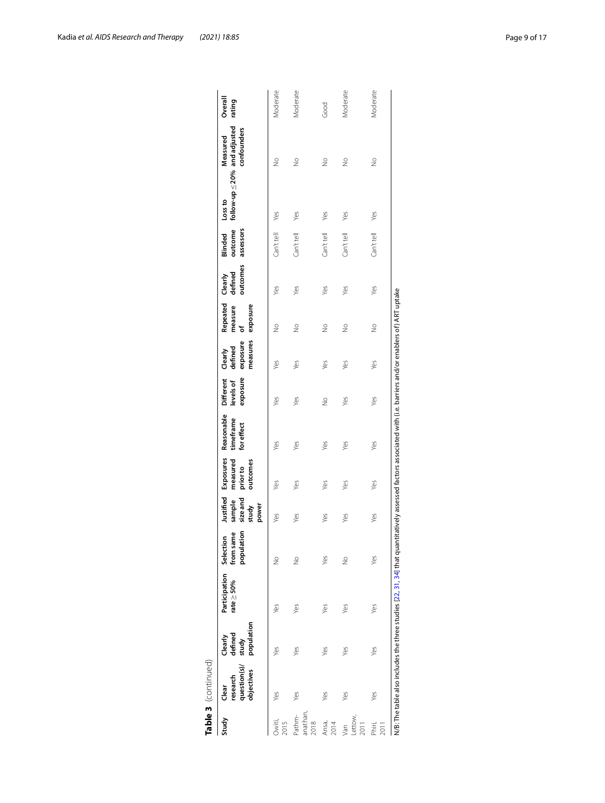|                                   | Table 3 (continued)                            |                                           |                                                                                                                                                                |                         |                                                   |                                               |                                       |                                    |                                            |                                      |                                |                                 |                                                    |                         |                   |
|-----------------------------------|------------------------------------------------|-------------------------------------------|----------------------------------------------------------------------------------------------------------------------------------------------------------------|-------------------------|---------------------------------------------------|-----------------------------------------------|---------------------------------------|------------------------------------|--------------------------------------------|--------------------------------------|--------------------------------|---------------------------------|----------------------------------------------------|-------------------------|-------------------|
| Study                             | question(s)/<br>objectives<br>research<br>dear | population<br>defined<br>Clearly<br>study | Participation Selection<br>rate $\geq$ 50%                                                                                                                     | population<br>from same | Justified<br>size and<br>sample<br>power<br>study | Exposures<br>measured<br>outcomes<br>prior to | Reasonable<br>timeframe<br>for effect | exposure<br>Different<br>levels of | measures<br>exposure<br>defined<br>Clearly | Repeated<br>exposure<br>measure<br>ቴ | outcomes<br>defined<br>Clearly | outcome<br>assessors<br>Blinded | follow-up $\leq$ 20% and adjusted<br>$\frac{1}{2}$ | confounders<br>Measured | Overall<br>rating |
| 2015<br><b>Dwiti</b>              | Yes                                            | Yes                                       | Yes                                                                                                                                                            | $\frac{1}{2}$           | Yes                                               | Yes                                           | Yes                                   | Yes                                | Yes                                        | $\frac{1}{2}$                        | Yes                            | Can't tell                      | Yes                                                | $\frac{0}{2}$           | Vloderate         |
| anathan<br>athm-<br>2018          | yes                                            | Yes                                       | Yes                                                                                                                                                            | $\frac{1}{2}$           | Yes                                               | Yes                                           | Yes                                   | Yes                                | Yes                                        | $\frac{1}{2}$                        | Yes                            | Can't tell                      | Yes                                                | $\frac{1}{2}$           | Moderate          |
| Ansa,<br>2014                     | Yes                                            | Yes                                       | Yes                                                                                                                                                            | Yes                     | yes                                               | Yes                                           | Yes                                   | $\frac{1}{2}$                      | Yes                                        | $\frac{1}{2}$                        | Yes                            | Can't tell                      | Yes                                                | $\frac{1}{2}$           | Good              |
| _ettow,<br>2011<br>$\overline{e}$ | Yes                                            | Yes                                       | Yes                                                                                                                                                            | $\frac{1}{2}$           | Yes                                               | Yes                                           | Yes                                   | Yes                                | Yes                                        | $\frac{1}{2}$                        | Yes                            | Can't tell                      | Yes                                                | $\frac{1}{2}$           | Moderate          |
| Phiri,                            | Yes                                            | Yes                                       | Yes                                                                                                                                                            | Yes                     | Yes                                               | Yes                                           | Yes                                   | Yes                                | Yes                                        | $\frac{1}{2}$                        | Yes                            | Can't tell                      | Yes                                                | $\frac{1}{2}$           | Moderate          |
|                                   |                                                |                                           | N/B: The table also includes the three studies [22, 31, 34] that quantitatively assessed factors associated with (i.e. barriers and/or enablers of) ART uptake |                         |                                                   |                                               |                                       |                                    |                                            |                                      |                                |                                 |                                                    |                         |                   |

| n |
|---|
|   |
|   |
|   |
| Ľ |
|   |
|   |
|   |
|   |
|   |

Kadia *et al. AIDS Research and Therapy* (2021) 18:85 **Page 9 of 17 Page 9 of 17**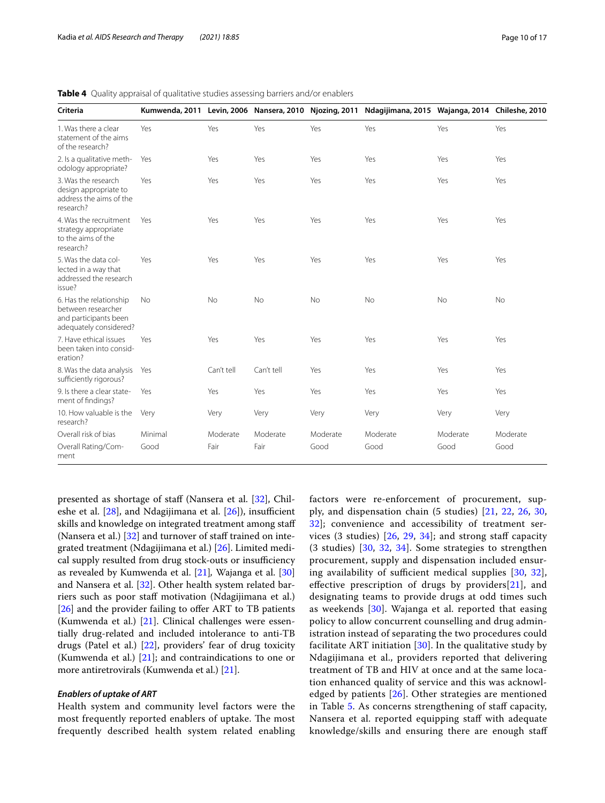| Criteria                                                                                         |           |            |            |           | Kumwenda, 2011 Levin, 2006 Nansera, 2010 Njozing, 2011 Ndagijimana, 2015 Wajanga, 2014 Chileshe, 2010 |           |          |
|--------------------------------------------------------------------------------------------------|-----------|------------|------------|-----------|-------------------------------------------------------------------------------------------------------|-----------|----------|
| 1. Was there a clear<br>statement of the aims<br>of the research?                                | Yes       | Yes        | Yes        | Yes       | Yes                                                                                                   | Yes       | Yes      |
| 2. Is a qualitative meth-<br>odology appropriate?                                                | Yes       | Yes        | Yes        | Yes       | Yes                                                                                                   | Yes       | Yes      |
| 3. Was the research<br>design appropriate to<br>address the aims of the<br>research?             | Yes       | Yes        | Yes        | Yes       | Yes                                                                                                   | Yes       | Yes      |
| 4. Was the recruitment<br>strategy appropriate<br>to the aims of the<br>research?                | Yes       | Yes        | Yes        | Yes       | Yes                                                                                                   | Yes       | Yes      |
| 5. Was the data col-<br>lected in a way that<br>addressed the research<br>issue?                 | Yes       | Yes        | Yes        | Yes       | Yes                                                                                                   | Yes       | Yes      |
| 6. Has the relationship<br>between researcher<br>and participants been<br>adequately considered? | <b>No</b> | No         | <b>No</b>  | <b>No</b> | <b>No</b>                                                                                             | <b>No</b> | No       |
| 7. Have ethical issues<br>been taken into consid-<br>eration?                                    | Yes       | Yes        | Yes        | Yes       | Yes                                                                                                   | Yes       | Yes      |
| 8. Was the data analysis<br>sufficiently rigorous?                                               | Yes       | Can't tell | Can't tell | Yes       | Yes                                                                                                   | Yes       | Yes      |
| 9. Is there a clear state-<br>ment of findings?                                                  | Yes       | Yes        | Yes        | Yes       | Yes                                                                                                   | Yes       | Yes      |
| 10. How valuable is the<br>research?                                                             | Very      | Very       | Very       | Very      | Very                                                                                                  | Very      | Very     |
| Overall risk of bias                                                                             | Minimal   | Moderate   | Moderate   | Moderate  | Moderate                                                                                              | Moderate  | Moderate |
| Overall Rating/Com-<br>ment                                                                      | Good      | Fair       | Fair       | Good      | Good                                                                                                  | Good      | Good     |

<span id="page-9-0"></span>**Table 4** Quality appraisal of qualitative studies assessing barriers and/or enablers

presented as shortage of staff (Nansera et al. [[32\]](#page-15-24), Chileshe et al.  $[28]$  $[28]$ , and Ndagijimana et al.  $[26]$  $[26]$ ), insufficient skills and knowledge on integrated treatment among staf (Nansera et al.)  $[32]$  $[32]$  $[32]$  and turnover of staff trained on integrated treatment (Ndagijimana et al.) [\[26\]](#page-15-19). Limited medical supply resulted from drug stock-outs or insufficiency as revealed by Kumwenda et al. [\[21](#page-15-13)]*,* Wajanga et al. [[30](#page-15-22)] and Nansera et al. [[32](#page-15-24)]. Other health system related barriers such as poor staff motivation (Ndagijimana et al.) [[26\]](#page-15-19) and the provider failing to offer ART to TB patients (Kumwenda et al.)  $[21]$ . Clinical challenges were essentially drug-related and included intolerance to anti-TB drugs (Patel et al.) [[22\]](#page-15-14), providers' fear of drug toxicity (Kumwenda et al.) [[21\]](#page-15-13); and contraindications to one or more antiretrovirals (Kumwenda et al.) [[21\]](#page-15-13).

# *Enablers of uptake of ART*

Health system and community level factors were the most frequently reported enablers of uptake. The most frequently described health system related enabling factors were re-enforcement of procurement, supply, and dispensation chain (5 studies) [[21,](#page-15-13) [22](#page-15-14), [26](#page-15-19), [30](#page-15-22), [32\]](#page-15-24); convenience and accessibility of treatment services (3 studies)  $[26, 29, 34]$  $[26, 29, 34]$  $[26, 29, 34]$  $[26, 29, 34]$  $[26, 29, 34]$  $[26, 29, 34]$  $[26, 29, 34]$ ; and strong staff capacity (3 studies) [[30](#page-15-22), [32,](#page-15-24) [34\]](#page-16-0). Some strategies to strengthen procurement, supply and dispensation included ensuring availability of sufficient medical supplies  $[30, 32]$  $[30, 32]$  $[30, 32]$  $[30, 32]$ , effective prescription of drugs by providers $[21]$  $[21]$ , and designating teams to provide drugs at odd times such as weekends [\[30\]](#page-15-22). Wajanga et al. reported that easing policy to allow concurrent counselling and drug administration instead of separating the two procedures could facilitate ART initiation  $[30]$  $[30]$ . In the qualitative study by Ndagijimana et al., providers reported that delivering treatment of TB and HIV at once and at the same location enhanced quality of service and this was acknowledged by patients [\[26](#page-15-19)]. Other strategies are mentioned in Table [5](#page-12-0). As concerns strengthening of staff capacity, Nansera et al. reported equipping staff with adequate knowledge/skills and ensuring there are enough staf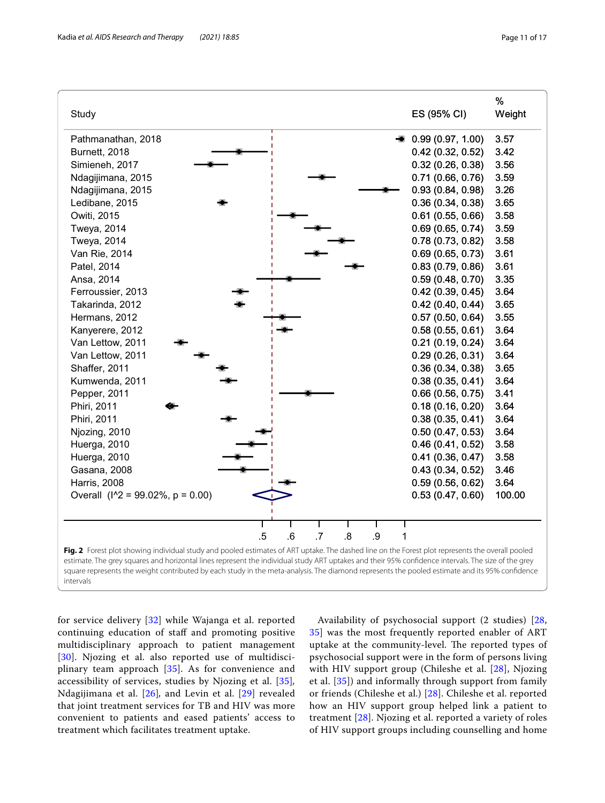

<span id="page-10-0"></span>**Fig. 2** Forest plot showing individual study and pooled estimates of ART uptake. The dashed line on the Forest plot represents the overall pooled estimate. The grey squares and horizontal lines represent the individual study ART uptakes and their 95% confdence intervals. The size of the grey square represents the weight contributed by each study in the meta-analysis. The diamond represents the pooled estimate and its 95% confdence intervals

for service delivery [[32](#page-15-24)] while Wajanga et al. reported continuing education of staf and promoting positive multidisciplinary approach to patient management [[30](#page-15-22)]. Njozing et al. also reported use of multidisciplinary team approach [\[35\]](#page-16-1). As for convenience and accessibility of services, studies by Njozing et al. [[35](#page-16-1)]*,* Ndagijimana et al. [[26](#page-15-19)]*,* and Levin et al. [[29](#page-15-23)] revealed that joint treatment services for TB and HIV was more convenient to patients and eased patients' access to treatment which facilitates treatment uptake.

Availability of psychosocial support (2 studies) [\[28](#page-15-21), [35\]](#page-16-1) was the most frequently reported enabler of ART uptake at the community-level. The reported types of psychosocial support were in the form of persons living with HIV support group (Chileshe et al. [[28](#page-15-21)], Njozing et al. [[35\]](#page-16-1)) and informally through support from family or friends (Chileshe et al.) [[28](#page-15-21)]. Chileshe et al. reported how an HIV support group helped link a patient to treatment [\[28](#page-15-21)]. Njozing et al. reported a variety of roles of HIV support groups including counselling and home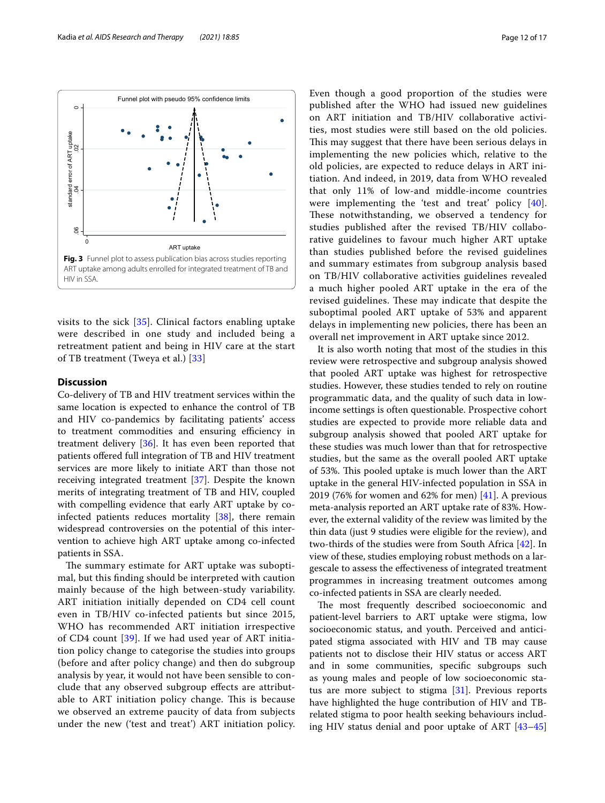

<span id="page-11-0"></span>visits to the sick [[35\]](#page-16-1). Clinical factors enabling uptake were described in one study and included being a retreatment patient and being in HIV care at the start of TB treatment (Tweya et al.) [[33](#page-16-2)]

# **Discussion**

Co-delivery of TB and HIV treatment services within the same location is expected to enhance the control of TB and HIV co-pandemics by facilitating patients' access to treatment commodities and ensuring efficiency in treatment delivery [[36](#page-16-3)]. It has even been reported that patients ofered full integration of TB and HIV treatment services are more likely to initiate ART than those not receiving integrated treatment [\[37\]](#page-16-4). Despite the known merits of integrating treatment of TB and HIV, coupled with compelling evidence that early ART uptake by coinfected patients reduces mortality [\[38\]](#page-16-5), there remain widespread controversies on the potential of this intervention to achieve high ART uptake among co-infected patients in SSA.

The summary estimate for ART uptake was suboptimal, but this fnding should be interpreted with caution mainly because of the high between-study variability. ART initiation initially depended on CD4 cell count even in TB/HIV co-infected patients but since 2015, WHO has recommended ART initiation irrespective of CD4 count [\[39](#page-16-6)]. If we had used year of ART initiation policy change to categorise the studies into groups (before and after policy change) and then do subgroup analysis by year, it would not have been sensible to conclude that any observed subgroup efects are attributable to ART initiation policy change. This is because we observed an extreme paucity of data from subjects under the new ('test and treat') ART initiation policy. Even though a good proportion of the studies were published after the WHO had issued new guidelines on ART initiation and TB/HIV collaborative activities, most studies were still based on the old policies. This may suggest that there have been serious delays in implementing the new policies which, relative to the old policies, are expected to reduce delays in ART initiation. And indeed, in 2019, data from WHO revealed that only 11% of low-and middle-income countries were implementing the 'test and treat' policy [[40](#page-16-7)]. These notwithstanding, we observed a tendency for studies published after the revised TB/HIV collaborative guidelines to favour much higher ART uptake than studies published before the revised guidelines and summary estimates from subgroup analysis based on TB/HIV collaborative activities guidelines revealed a much higher pooled ART uptake in the era of the revised guidelines. These may indicate that despite the suboptimal pooled ART uptake of 53% and apparent delays in implementing new policies, there has been an overall net improvement in ART uptake since 2012.

It is also worth noting that most of the studies in this review were retrospective and subgroup analysis showed that pooled ART uptake was highest for retrospective studies. However, these studies tended to rely on routine programmatic data, and the quality of such data in lowincome settings is often questionable. Prospective cohort studies are expected to provide more reliable data and subgroup analysis showed that pooled ART uptake for these studies was much lower than that for retrospective studies, but the same as the overall pooled ART uptake of 53%. This pooled uptake is much lower than the ART uptake in the general HIV-infected population in SSA in 2019 (76% for women and 62% for men) [[41\]](#page-16-8). A previous meta-analysis reported an ART uptake rate of 83%. However, the external validity of the review was limited by the thin data (just 9 studies were eligible for the review), and two-thirds of the studies were from South Africa [[42\]](#page-16-9). In view of these, studies employing robust methods on a largescale to assess the efectiveness of integrated treatment programmes in increasing treatment outcomes among co-infected patients in SSA are clearly needed.

The most frequently described socioeconomic and patient-level barriers to ART uptake were stigma, low socioeconomic status, and youth. Perceived and anticipated stigma associated with HIV and TB may cause patients not to disclose their HIV status or access ART and in some communities, specifc subgroups such as young males and people of low socioeconomic status are more subject to stigma  $[31]$  $[31]$ . Previous reports have highlighted the huge contribution of HIV and TBrelated stigma to poor health seeking behaviours including HIV status denial and poor uptake of ART [[43–](#page-16-10)[45](#page-16-11)]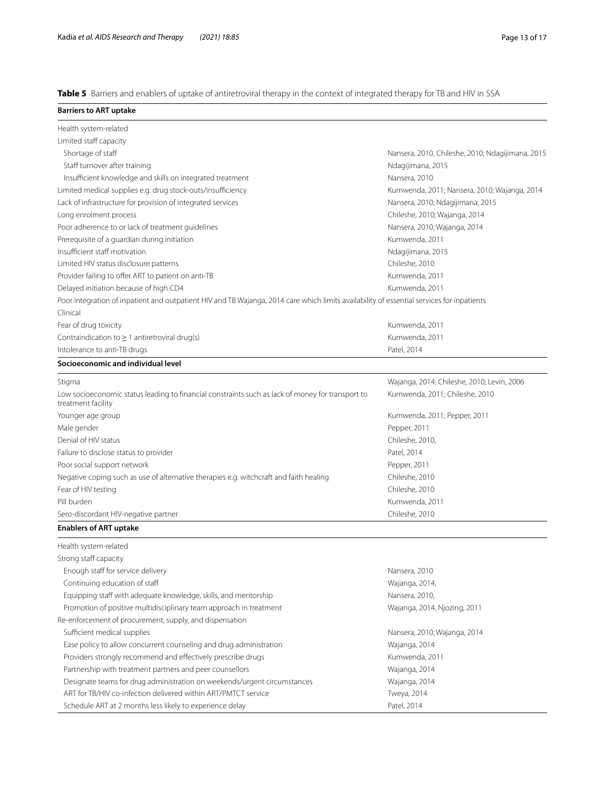<span id="page-12-0"></span>**Table 5** Barriers and enablers of uptake of antiretroviral therapy in the context of integrated therapy for TB and HIV in SSA

| <b>Barriers to ART uptake</b>                                                                                                             |                                                  |
|-------------------------------------------------------------------------------------------------------------------------------------------|--------------------------------------------------|
| Health system-related                                                                                                                     |                                                  |
| Limited staff capacity                                                                                                                    |                                                  |
| Shortage of staff                                                                                                                         | Nansera, 2010, Chileshe, 2010; Ndagijimana, 2015 |
| Staff turnover after training                                                                                                             | Ndagijimana, 2015                                |
| Insufficient knowledge and skills on integrated treatment                                                                                 | Nansera, 2010                                    |
| Limited medical supplies e.g. drug stock-outs/insufficiency                                                                               | Kumwenda, 2011; Nansera, 2010; Wajanga, 2014     |
| Lack of infrastructure for provision of integrated services                                                                               | Nansera, 2010; Ndagijimana, 2015                 |
| Long enrolment process                                                                                                                    | Chileshe, 2010; Wajanga, 2014                    |
| Poor adherence to or lack of treatment guidelines                                                                                         | Nansera, 2010; Wajanga, 2014                     |
| Prerequisite of a guardian during initiation                                                                                              | Kumwenda, 2011                                   |
| Insufficient staff motivation                                                                                                             |                                                  |
|                                                                                                                                           | Ndagijimana, 2015                                |
| Limited HIV status disclosure patterns                                                                                                    | Chileshe, 2010                                   |
| Provider failing to offer ART to patient on anti-TB                                                                                       | Kumwenda, 2011                                   |
| Delayed initiation because of high CD4                                                                                                    | Kumwenda, 2011                                   |
| Poor integration of inpatient and outpatient HIV and TB Wajanga, 2014 care which limits availability of essential services for inpatients |                                                  |
| Clinical                                                                                                                                  |                                                  |
| Fear of drug toxicity                                                                                                                     | Kumwenda, 2011                                   |
| Contraindication to $\geq 1$ antiretroviral drug(s)                                                                                       | Kumwenda, 2011                                   |
| Intolerance to anti-TB drugs                                                                                                              | Patel, 2014                                      |
| Socioeconomic and individual level                                                                                                        |                                                  |
| Stigma                                                                                                                                    | Wajanga, 2014; Chileshe, 2010; Levin, 2006       |
| Low socioeconomic status leading to financial constraints such as lack of money for transport to<br>treatment facility                    | Kumwenda, 2011; Chileshe, 2010                   |
| Younger age group                                                                                                                         | Kumwenda, 2011; Pepper, 2011                     |
| Male gender                                                                                                                               | Pepper, 2011                                     |
| Denial of HIV status                                                                                                                      | Chileshe, 2010,                                  |
| Failure to disclose status to provider                                                                                                    | Patel, 2014                                      |
| Poor social support network                                                                                                               | Pepper, 2011                                     |
| Negative coping such as use of alternative therapies e.g. witchcraft and faith healing                                                    | Chileshe, 2010                                   |
| Fear of HIV testing                                                                                                                       | Chileshe, 2010                                   |
| Pill burden                                                                                                                               | Kumwenda, 2011                                   |
| Sero-discordant HIV-negative partner                                                                                                      | Chileshe, 2010                                   |
| <b>Enablers of ART uptake</b>                                                                                                             |                                                  |
| Health system-related                                                                                                                     |                                                  |
| Strong staff capacity                                                                                                                     |                                                  |
| Enough staff for service delivery                                                                                                         | Nansera, 2010                                    |
| Continuing education of staff                                                                                                             | Wajanga, 2014,                                   |
| Equipping staff with adequate knowledge, skills, and mentorship                                                                           | Nansera, 2010,                                   |
| Promotion of positive multidisciplinary team approach in treatment                                                                        | Wajanga, 2014, Njozing, 2011                     |
| Re-enforcement of procurement, supply, and dispensation                                                                                   |                                                  |
| Sufficient medical supplies                                                                                                               | Nansera, 2010; Wajanga, 2014                     |
| Ease policy to allow concurrent counseling and drug administration                                                                        | Wajanga, 2014                                    |
| Providers strongly recommend and effectively prescribe drugs                                                                              | Kumwenda, 2011                                   |
| Partnership with treatment partners and peer counsellors                                                                                  |                                                  |
|                                                                                                                                           | Wajanga, 2014                                    |
| Designate teams for drug administration on weekends/urgent circumstances                                                                  | Wajanga, 2014                                    |
| ART for TB/HIV co-infection delivered within ART/PMTCT service                                                                            | Tweya, 2014                                      |
| Schedule ART at 2 months less likely to experience delay                                                                                  | Patel, 2014                                      |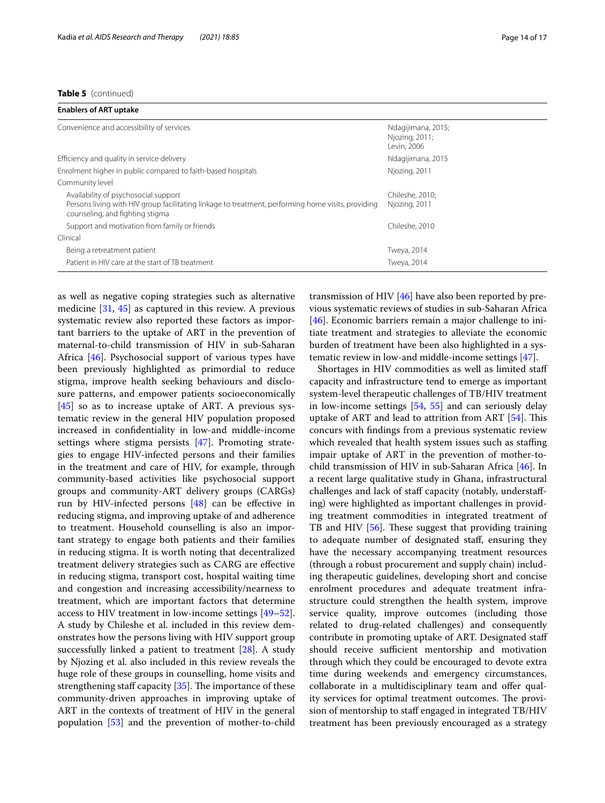#### **Table 5** (continued)

| Ndagijimana, 2015;<br>Njozing, 2011;<br>Levin, 2006 |
|-----------------------------------------------------|
| Ndagijimana, 2015                                   |
| Njozing, 2011                                       |
|                                                     |
| Chileshe, 2010:<br>Njozing, 2011                    |
| Chileshe, 2010                                      |
|                                                     |
| Tweya, 2014                                         |
| Tweya, 2014                                         |
|                                                     |

as well as negative coping strategies such as alternative medicine [[31,](#page-15-17) [45\]](#page-16-11) as captured in this review. A previous systematic review also reported these factors as important barriers to the uptake of ART in the prevention of maternal-to-child transmission of HIV in sub-Saharan Africa [\[46](#page-16-12)]. Psychosocial support of various types have been previously highlighted as primordial to reduce stigma, improve health seeking behaviours and disclosure patterns, and empower patients socioeconomically [[45\]](#page-16-11) so as to increase uptake of ART. A previous systematic review in the general HIV population proposed increased in confdentiality in low-and middle-income settings where stigma persists [[47\]](#page-16-13). Promoting strategies to engage HIV-infected persons and their families in the treatment and care of HIV, for example, through community-based activities like psychosocial support groups and community-ART delivery groups (CARGs) run by HIV-infected persons [[48\]](#page-16-14) can be efective in reducing stigma, and improving uptake of and adherence to treatment. Household counselling is also an important strategy to engage both patients and their families in reducing stigma. It is worth noting that decentralized treatment delivery strategies such as CARG are efective in reducing stigma, transport cost, hospital waiting time and congestion and increasing accessibility/nearness to treatment, which are important factors that determine access to HIV treatment in low-income settings [[49](#page-16-15)[–52](#page-16-16)]. A study by Chileshe et al. included in this review demonstrates how the persons living with HIV support group successfully linked a patient to treatment [\[28](#page-15-21)]. A study by Njozing et al. also included in this review reveals the huge role of these groups in counselling, home visits and strengthening staff capacity  $[35]$  $[35]$ . The importance of these community-driven approaches in improving uptake of ART in the contexts of treatment of HIV in the general population [[53\]](#page-16-17) and the prevention of mother-to-child

transmission of HIV [[46\]](#page-16-12) have also been reported by previous systematic reviews of studies in sub-Saharan Africa [[46\]](#page-16-12). Economic barriers remain a major challenge to initiate treatment and strategies to alleviate the economic burden of treatment have been also highlighted in a systematic review in low-and middle-income settings [[47\]](#page-16-13).

Shortages in HIV commodities as well as limited staf capacity and infrastructure tend to emerge as important system-level therapeutic challenges of TB/HIV treatment in low-income settings [[54](#page-16-18), [55](#page-16-19)] and can seriously delay uptake of ART and lead to attrition from ART  $[54]$  $[54]$ . This concurs with fndings from a previous systematic review which revealed that health system issues such as staffing impair uptake of ART in the prevention of mother-tochild transmission of HIV in sub-Saharan Africa [[46](#page-16-12)]. In a recent large qualitative study in Ghana, infrastructural challenges and lack of staff capacity (notably, understaffing) were highlighted as important challenges in providing treatment commodities in integrated treatment of TB and HIV  $[56]$  $[56]$ . These suggest that providing training to adequate number of designated staf, ensuring they have the necessary accompanying treatment resources (through a robust procurement and supply chain) including therapeutic guidelines, developing short and concise enrolment procedures and adequate treatment infrastructure could strengthen the health system, improve service quality, improve outcomes (including those related to drug-related challenges) and consequently contribute in promoting uptake of ART. Designated staf should receive sufficient mentorship and motivation through which they could be encouraged to devote extra time during weekends and emergency circumstances, collaborate in a multidisciplinary team and ofer quality services for optimal treatment outcomes. The provision of mentorship to staff engaged in integrated TB/HIV treatment has been previously encouraged as a strategy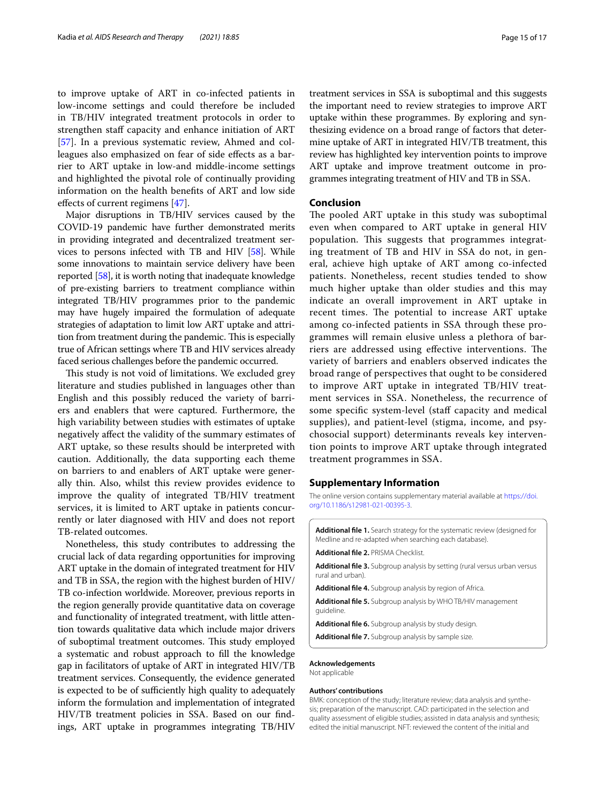to improve uptake of ART in co-infected patients in low-income settings and could therefore be included in TB/HIV integrated treatment protocols in order to strengthen staff capacity and enhance initiation of ART [[57\]](#page-16-21). In a previous systematic review, Ahmed and colleagues also emphasized on fear of side effects as a barrier to ART uptake in low-and middle-income settings and highlighted the pivotal role of continually providing information on the health benefts of ART and low side efects of current regimens [[47](#page-16-13)].

Major disruptions in TB/HIV services caused by the COVID-19 pandemic have further demonstrated merits in providing integrated and decentralized treatment services to persons infected with TB and HIV [\[58\]](#page-16-22). While some innovations to maintain service delivery have been reported [[58](#page-16-22)], it is worth noting that inadequate knowledge of pre-existing barriers to treatment compliance within integrated TB/HIV programmes prior to the pandemic may have hugely impaired the formulation of adequate strategies of adaptation to limit low ART uptake and attrition from treatment during the pandemic. This is especially true of African settings where TB and HIV services already faced serious challenges before the pandemic occurred.

This study is not void of limitations. We excluded grey literature and studies published in languages other than English and this possibly reduced the variety of barriers and enablers that were captured. Furthermore, the high variability between studies with estimates of uptake negatively afect the validity of the summary estimates of ART uptake, so these results should be interpreted with caution. Additionally, the data supporting each theme on barriers to and enablers of ART uptake were generally thin. Also, whilst this review provides evidence to improve the quality of integrated TB/HIV treatment services, it is limited to ART uptake in patients concurrently or later diagnosed with HIV and does not report TB-related outcomes.

Nonetheless, this study contributes to addressing the crucial lack of data regarding opportunities for improving ART uptake in the domain of integrated treatment for HIV and TB in SSA, the region with the highest burden of HIV/ TB co-infection worldwide. Moreover, previous reports in the region generally provide quantitative data on coverage and functionality of integrated treatment, with little attention towards qualitative data which include major drivers of suboptimal treatment outcomes. This study employed a systematic and robust approach to fll the knowledge gap in facilitators of uptake of ART in integrated HIV/TB treatment services. Consequently, the evidence generated is expected to be of sufficiently high quality to adequately inform the formulation and implementation of integrated HIV/TB treatment policies in SSA. Based on our fndings, ART uptake in programmes integrating TB/HIV treatment services in SSA is suboptimal and this suggests the important need to review strategies to improve ART uptake within these programmes. By exploring and synthesizing evidence on a broad range of factors that determine uptake of ART in integrated HIV/TB treatment, this review has highlighted key intervention points to improve ART uptake and improve treatment outcome in programmes integrating treatment of HIV and TB in SSA.

## **Conclusion**

The pooled ART uptake in this study was suboptimal even when compared to ART uptake in general HIV population. This suggests that programmes integrating treatment of TB and HIV in SSA do not, in general, achieve high uptake of ART among co-infected patients. Nonetheless, recent studies tended to show much higher uptake than older studies and this may indicate an overall improvement in ART uptake in recent times. The potential to increase ART uptake among co-infected patients in SSA through these programmes will remain elusive unless a plethora of barriers are addressed using effective interventions. The variety of barriers and enablers observed indicates the broad range of perspectives that ought to be considered to improve ART uptake in integrated TB/HIV treatment services in SSA. Nonetheless, the recurrence of some specifc system-level (staf capacity and medical supplies), and patient-level (stigma, income, and psychosocial support) determinants reveals key intervention points to improve ART uptake through integrated treatment programmes in SSA.

#### **Supplementary Information**

The online version contains supplementary material available at [https://doi.](https://doi.org/10.1186/s12981-021-00395-3) [org/10.1186/s12981-021-00395-3](https://doi.org/10.1186/s12981-021-00395-3).

<span id="page-14-4"></span><span id="page-14-3"></span><span id="page-14-2"></span><span id="page-14-1"></span><span id="page-14-0"></span>

| <b>Additional file 1.</b> Search strategy for the systematic review (designed for<br>Medline and re-adapted when searching each database). |  |
|--------------------------------------------------------------------------------------------------------------------------------------------|--|
| <b>Additional file 2. PRISMA Checklist</b>                                                                                                 |  |
| <b>Additional file 3.</b> Subgroup analysis by setting (rural versus urban versus<br>rural and urban).                                     |  |
| Additional file 4. Subgroup analysis by region of Africa.                                                                                  |  |
| <b>Additional file 5.</b> Subgroup analysis by WHO TB/HIV management<br>quideline.                                                         |  |
| <b>Additional file 6.</b> Subgroup analysis by study design.                                                                               |  |
| <b>Additional file 7.</b> Subgroup analysis by sample size.                                                                                |  |
| Acknowledaements                                                                                                                           |  |

#### <span id="page-14-6"></span><span id="page-14-5"></span>Not applicable

#### **Authors' contributions**

BMK: conception of the study; literature review; data analysis and synthesis; preparation of the manuscript. CAD: participated in the selection and quality assessment of eligible studies; assisted in data analysis and synthesis; edited the initial manuscript. NFT: reviewed the content of the initial and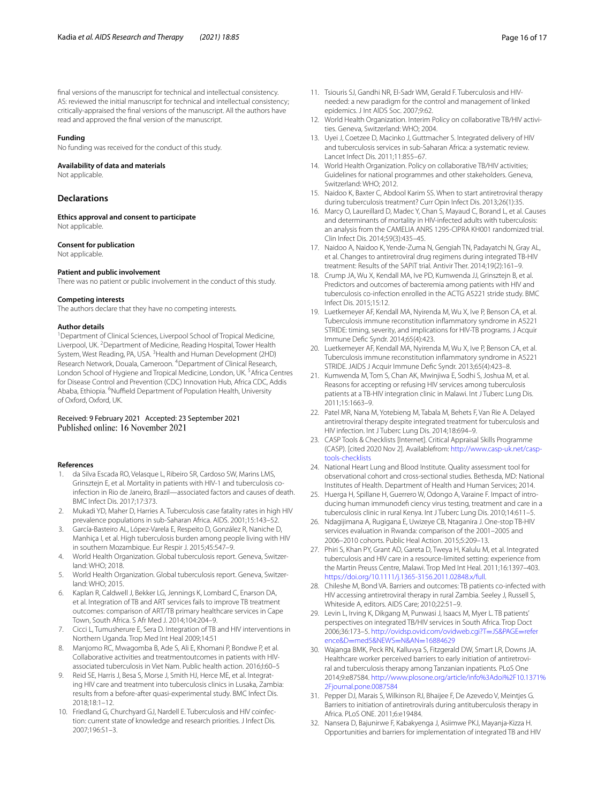fnal versions of the manuscript for technical and intellectual consistency. AS: reviewed the initial manuscript for technical and intellectual consistency; critically-appraised the fnal versions of the manuscript. All the authors have read and approved the fnal version of the manuscript.

#### **Funding**

No funding was received for the conduct of this study.

#### **Availability of data and materials**

Not applicable.

# **Declarations**

**Ethics approval and consent to participate** Not applicable.

#### **Consent for publication**

Not applicable.

#### **Patient and public involvement**

There was no patient or public involvement in the conduct of this study.

#### **Competing interests**

The authors declare that they have no competing interests.

#### **Author details**

<sup>1</sup> Department of Clinical Sciences, Liverpool School of Tropical Medicine, Liverpool, UK.<sup>2</sup> Department of Medicine, Reading Hospital, Tower Health System, West Reading, PA, USA.<sup>3</sup> Health and Human Development (2HD) Research Network, Douala, Cameroon. <sup>4</sup> Department of Clinical Research, London School of Hygiene and Tropical Medicine, London, UK. <sup>5</sup> Africa Centres for Disease Control and Prevention (CDC) Innovation Hub, Africa CDC, Addis Ababa, Ethiopia. <sup>6</sup>Nuffield Department of Population Health, University of Oxford, Oxford, UK.

#### Received: 9 February 2021 Accepted: 23 September 2021 Published online: 16 November 2021

#### **References**

- <span id="page-15-0"></span>1. da Silva Escada RO, Velasque L, Ribeiro SR, Cardoso SW, Marins LMS, Grinsztejn E, et al. Mortality in patients with HIV-1 and tuberculosis coinfection in Rio de Janeiro, Brazil—associated factors and causes of death. BMC Infect Dis. 2017;17:373.
- 2. Mukadi YD, Maher D, Harries A. Tuberculosis case fatality rates in high HIV prevalence populations in sub-Saharan Africa. AIDS. 2001;15:143–52.
- <span id="page-15-1"></span>3. García-Basteiro AL, López-Varela E, Respeito D, González R, Naniche D, Manhiça I, et al. High tuberculosis burden among people living with HIV in southern Mozambique. Eur Respir J. 2015;45:547–9.
- <span id="page-15-2"></span>4. World Health Organization. Global tuberculosis report. Geneva, Switzerland: WHO; 2018.
- <span id="page-15-3"></span>5. World Health Organization. Global tuberculosis report. Geneva, Switzerland: WHO; 2015.
- <span id="page-15-4"></span>6. Kaplan R, Caldwell J, Bekker LG, Jennings K, Lombard C, Enarson DA, et al. Integration of TB and ART services fails to improve TB treatment outcomes: comparison of ART/TB primary healthcare services in Cape Town, South Africa. S Afr Med J. 2014;104:204–9.
- 7. Cicci L, Tumusherure E, Sera D. Integration of TB and HIV interventions in Northern Uganda. Trop Med Int Heal 2009;14:51
- 8. Manjomo RC, Mwagomba B, Ade S, Ali E, Khomani P, Bondwe P, et al. Collaborative activities and treatmentoutcomes in patients with HIVassociated tuberculosis in Viet Nam. Public health action. 2016;I:60–5
- 9. Reid SE, Harris J, Besa S, Morse J, Smith HJ, Herce ME, et al. Integrating HIV care and treatment into tuberculosis clinics in Lusaka, Zambia: results from a before-after quasi-experimental study. BMC Infect Dis. 2018;18:1–12.
- 10. Friedland G, Churchyard GJ, Nardell E. Tuberculosis and HIV coinfection: current state of knowledge and research priorities. J Infect Dis. 2007;196:S1–3.
- <span id="page-15-5"></span>11. Tsiouris SJ, Gandhi NR, El-Sadr WM, Gerald F. Tuberculosis and HIVneeded: a new paradigm for the control and management of linked epidemics. J Int AIDS Soc. 2007;9:62.
- <span id="page-15-6"></span>12. World Health Organization. Interim Policy on collaborative TB/HIV activities. Geneva, Switzerland: WHO; 2004.
- <span id="page-15-7"></span>13. Uyei J, Coetzee D, Macinko J, Guttmacher S. Integrated delivery of HIV and tuberculosis services in sub-Saharan Africa: a systematic review. Lancet Infect Dis. 2011;11:855–67.
- <span id="page-15-8"></span>14. World Health Organization. Policy on collaborative TB/HIV activities; Guidelines for national programmes and other stakeholders. Geneva, Switzerland: WHO; 2012.
- <span id="page-15-9"></span>15. Naidoo K, Baxter C, Abdool Karim SS. When to start antiretroviral therapy during tuberculosis treatment? Curr Opin Infect Dis. 2013;26(1):35.
- 16. Marcy O, Laureillard D, Madec Y, Chan S, Mayaud C, Borand L, et al. Causes and determinants of mortality in HIV-infected adults with tuberculosis: an analysis from the CAMELIA ANRS 1295-CIPRA KH001 randomized trial. Clin Infect Dis. 2014;59(3):435–45.
- <span id="page-15-10"></span>17. Naidoo A, Naidoo K, Yende-Zuma N, Gengiah TN, Padayatchi N, Gray AL, et al. Changes to antiretroviral drug regimens during integrated TB-HIV treatment: Results of the SAPiT trial. Antivir Ther. 2014;19(2):161–9.
- <span id="page-15-11"></span>18. Crump JA, Wu X, Kendall MA, Ive PD, Kumwenda JJ, Grinsztejn B, et al. Predictors and outcomes of bacteremia among patients with HIV and tuberculosis co-infection enrolled in the ACTG A5221 stride study. BMC Infect Dis. 2015;15:12.
- 19. Luetkemeyer AF, Kendall MA, Nyirenda M, Wu X, Ive P, Benson CA, et al. Tuberculosis immune reconstitution infammatory syndrome in A5221 STRIDE: timing, severity, and implications for HIV-TB programs. J Acquir Immune Defc Syndr. 2014;65(4):423.
- <span id="page-15-12"></span>20. Luetkemeyer AF, Kendall MA, Nyirenda M, Wu X, Ive P, Benson CA, et al. Tuberculosis immune reconstitution infammatory syndrome in A5221 STRIDE. JAIDS J Acquir Immune Defc Syndr. 2013;65(4):423–8.
- <span id="page-15-13"></span>21. Kumwenda M, Tom S, Chan AK, Mwinjiwa E, Sodhi S, Joshua M, et al. Reasons for accepting or refusing HIV services among tuberculosis patients at a TB-HIV integration clinic in Malawi. Int J Tuberc Lung Dis. 2011;15:1663–9.
- <span id="page-15-14"></span>22. Patel MR, Nana M, Yotebieng M, Tabala M, Behets F, Van Rie A. Delayed antiretroviral therapy despite integrated treatment for tuberculosis and HIV infection. Int J Tuberc Lung Dis. 2014;18:694–9.
- <span id="page-15-15"></span>23. CASP Tools & Checklists [Internet]. Critical Appraisal Skills Programme (CASP). [cited 2020 Nov 2]. Availablefrom: [http://www.casp-uk.net/casp](http://www.casp-uk.net/casp-tools-checklists)[tools-checklists](http://www.casp-uk.net/casp-tools-checklists)
- <span id="page-15-16"></span>24. National Heart Lung and Blood Institute. Quality assessment tool for observational cohort and cross-sectional studies. Bethesda, MD: National Institutes of Health. Department of Health and Human Services; 2014.
- <span id="page-15-18"></span>25. Huerga H, Spillane H, Guerrero W, Odongo A, Varaine F. Impact of introducing human immunodef ciency virus testing, treatment and care in a tuberculosis clinic in rural Kenya. Int J Tuberc Lung Dis. 2010;14:611–5.
- <span id="page-15-19"></span>26. Ndagijimana A, Rugigana E, Uwizeye CB, Ntaganira J. One-stop TB-HIV services evaluation in Rwanda: comparison of the 2001–2005 and 2006–2010 cohorts. Public Heal Action. 2015;5:209–13.
- <span id="page-15-20"></span>27. Phiri S, Khan PY, Grant AD, Gareta D, Tweya H, Kalulu M, et al. Integrated tuberculosis and HIV care in a resource-limited setting: experience from the Martin Preuss Centre, Malawi. Trop Med Int Heal. 2011;16:1397–403. [https://doi.org/10.1111/j.1365-3156.2011.02848.x/full.](https://doi.org/10.1111/j.1365-3156.2011.02848.x/full)
- <span id="page-15-21"></span>28. Chileshe M, Bond VA. Barriers and outcomes: TB patients co-infected with HIV accessing antiretroviral therapy in rural Zambia. Seeley J, Russell S, Whiteside A, editors. AIDS Care; 2010;22:51–9.
- <span id="page-15-23"></span>29. Levin L, Irving K, Dikgang M, Punwasi J, Isaacs M, Myer L. TB patients' perspectives on integrated TB/HIV services in South Africa. Trop Doct 2006;36:173–5. [http://ovidsp.ovid.com/ovidweb.cgi?T](http://ovidsp.ovid.com/ovidweb.cgi?T=JS&PAGE=reference&D=med5&NEWS=N&AN=16884629)=JS&PAGE=refer ence&D=med5&NEWS=N&AN=16884629
- <span id="page-15-22"></span>30. [Wajanga BMK, Peck RN, Kalluvya S, Fitzgeral](http://ovidsp.ovid.com/ovidweb.cgi?T=JS&PAGE=reference&D=med5&NEWS=N&AN=16884629)d DW, Smart LR, Downs JA. Healthcare worker perceived barriers to early initiation of antiretroviral and tuberculosis therapy among Tanzanian inpatients. PLoS One 2014;9:e87584. [http://www.plosone.org/article/info%3Adoi%2F10.1371%](http://www.plosone.org/article/info%3Adoi%2F10.1371%2Fjournal.pone.0087584) [2Fjournal.pone.0087584](http://www.plosone.org/article/info%3Adoi%2F10.1371%2Fjournal.pone.0087584)
- <span id="page-15-17"></span>31. Pepper DJ, Marais S, Wilkinson RJ, Bhaijee F, De Azevedo V, Meintjes G. Barriers to initiation of antiretrovirals during antituberculosis therapy in Africa. PLoS ONE. 2011;6:e19484.
- <span id="page-15-24"></span>32. Nansera D, Bajunirwe F, Kabakyenga J, Asiimwe PKJ, Mayanja-Kizza H. Opportunities and barriers for implementation of integrated TB and HIV